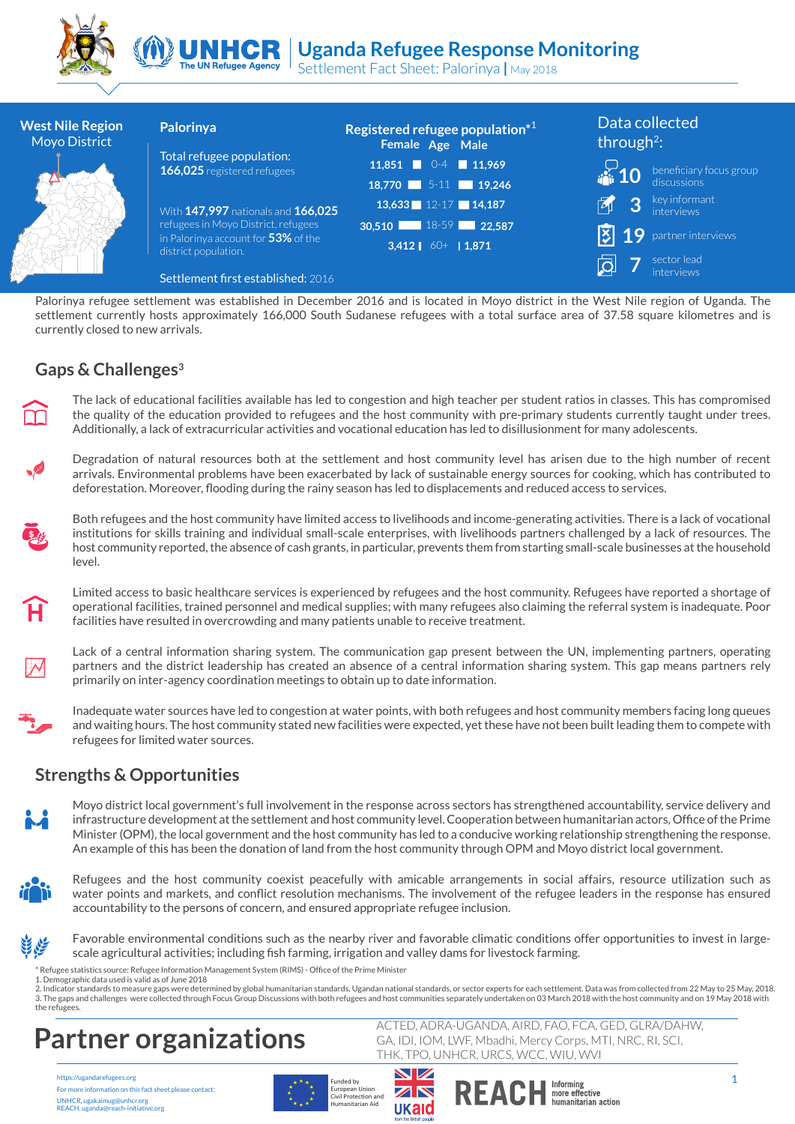



Settlement Fact Sheet: Palorinya **|** May 2018

| <b>West Nile Region</b><br><b>Moyo District</b>                                                                                                                                                                                                                                                                                                                                                                                                           |                                                                                                                                                                                                                                                                                                                                                                                                                                                                                                                                                  | Palorinya                                                                                                                                                                                                                                                                                                         | Registered refugee population*1<br>Female Age Male |                       |                               | Data collected<br>through <sup>2</sup> : |  |
|-----------------------------------------------------------------------------------------------------------------------------------------------------------------------------------------------------------------------------------------------------------------------------------------------------------------------------------------------------------------------------------------------------------------------------------------------------------|--------------------------------------------------------------------------------------------------------------------------------------------------------------------------------------------------------------------------------------------------------------------------------------------------------------------------------------------------------------------------------------------------------------------------------------------------------------------------------------------------------------------------------------------------|-------------------------------------------------------------------------------------------------------------------------------------------------------------------------------------------------------------------------------------------------------------------------------------------------------------------|----------------------------------------------------|-----------------------|-------------------------------|------------------------------------------|--|
|                                                                                                                                                                                                                                                                                                                                                                                                                                                           |                                                                                                                                                                                                                                                                                                                                                                                                                                                                                                                                                  | Total refugee population:<br>166,025 registered refugees                                                                                                                                                                                                                                                          | $11,851$ 0-4<br>18,770 5-11 19,246                 | $\blacksquare$ 11,969 |                               | beneficiary focus group<br>discussions   |  |
|                                                                                                                                                                                                                                                                                                                                                                                                                                                           |                                                                                                                                                                                                                                                                                                                                                                                                                                                                                                                                                  | With 147,997 nationals and 166,025<br>refugees in Moyo District, refugees<br>in Palorinya account for 53% of the<br>district population.                                                                                                                                                                          | 13,633 12-17 14,187                                |                       | 3                             | key informant<br><i>interviews</i>       |  |
|                                                                                                                                                                                                                                                                                                                                                                                                                                                           |                                                                                                                                                                                                                                                                                                                                                                                                                                                                                                                                                  |                                                                                                                                                                                                                                                                                                                   | 30,510<br>3,412 $\bigcup 60+$ 1,871                | 18-59 <b>22.587</b>   | $\overline{\mathbf{x}}$<br>19 | partner interviews                       |  |
|                                                                                                                                                                                                                                                                                                                                                                                                                                                           |                                                                                                                                                                                                                                                                                                                                                                                                                                                                                                                                                  | Settlement first established: 2016                                                                                                                                                                                                                                                                                |                                                    |                       |                               | sector lead                              |  |
|                                                                                                                                                                                                                                                                                                                                                                                                                                                           | currently closed to new arrivals.                                                                                                                                                                                                                                                                                                                                                                                                                                                                                                                | Palorinya refugee settlement was established in December 2016 and is located in Moyo district in the West Nile region of Uganda. The<br>settlement currently hosts approximately 166,000 South Sudanese refugees with a total surface area of 37.58 square kilometres and is                                      |                                                    |                       |                               |                                          |  |
|                                                                                                                                                                                                                                                                                                                                                                                                                                                           | Gaps & Challenges <sup>3</sup>                                                                                                                                                                                                                                                                                                                                                                                                                                                                                                                   |                                                                                                                                                                                                                                                                                                                   |                                                    |                       |                               |                                          |  |
| M                                                                                                                                                                                                                                                                                                                                                                                                                                                         | The lack of educational facilities available has led to congestion and high teacher per student ratios in classes. This has compromised<br>the quality of the education provided to refugees and the host community with pre-primary students currently taught under trees.<br>Additionally, a lack of extracurricular activities and vocational education has led to disillusionment for many adolescents.                                                                                                                                      |                                                                                                                                                                                                                                                                                                                   |                                                    |                       |                               |                                          |  |
| <b>CONTRACTOR</b>                                                                                                                                                                                                                                                                                                                                                                                                                                         | Degradation of natural resources both at the settlement and host community level has arisen due to the high number of recent<br>arrivals. Environmental problems have been exacerbated by lack of sustainable energy sources for cooking, which has contributed to<br>deforestation. Moreover, flooding during the rainy season has led to displacements and reduced access to services.                                                                                                                                                         |                                                                                                                                                                                                                                                                                                                   |                                                    |                       |                               |                                          |  |
|                                                                                                                                                                                                                                                                                                                                                                                                                                                           | Both refugees and the host community have limited access to livelihoods and income-generating activities. There is a lack of vocational<br>institutions for skills training and individual small-scale enterprises, with livelihoods partners challenged by a lack of resources. The<br>host community reported, the absence of cash grants, in particular, prevents them from starting small-scale businesses at the household<br>level.                                                                                                        |                                                                                                                                                                                                                                                                                                                   |                                                    |                       |                               |                                          |  |
| Ĥ                                                                                                                                                                                                                                                                                                                                                                                                                                                         | Limited access to basic healthcare services is experienced by refugees and the host community. Refugees have reported a shortage of<br>operational facilities, trained personnel and medical supplies; with many refugees also claiming the referral system is inadequate. Poor<br>facilities have resulted in overcrowding and many patients unable to receive treatment.                                                                                                                                                                       |                                                                                                                                                                                                                                                                                                                   |                                                    |                       |                               |                                          |  |
| $\mathcal{M}% _{0}=\mathcal{M}_{0}=\mathcal{M}_{0}=\mathcal{M}_{0}=\mathcal{M}_{0}=\mathcal{M}_{0}=\mathcal{M}_{0}=\mathcal{M}_{0}=\mathcal{M}_{0}=\mathcal{M}_{0}=\mathcal{M}_{0}=\mathcal{M}_{0}=\mathcal{M}_{0}=\mathcal{M}_{0}=\mathcal{M}_{0}=\mathcal{M}_{0}=\mathcal{M}_{0}=\mathcal{M}_{0}=\mathcal{M}_{0}=\mathcal{M}_{0}=\mathcal{M}_{0}=\mathcal{M}_{0}=\mathcal{M}_{0}=\mathcal{M}_{0}=\mathcal{M}_{0}=\mathcal{M}_{0}=\mathcal{M}_{0}=\math$ | Lack of a central information sharing system. The communication gap present between the UN, implementing partners, operating<br>partners and the district leadership has created an absence of a central information sharing system. This gap means partners rely<br>primarily on inter-agency coordination meetings to obtain up to date information.                                                                                                                                                                                           |                                                                                                                                                                                                                                                                                                                   |                                                    |                       |                               |                                          |  |
|                                                                                                                                                                                                                                                                                                                                                                                                                                                           |                                                                                                                                                                                                                                                                                                                                                                                                                                                                                                                                                  | Inadequate water sources have led to congestion at water points, with both refugees and host community members facing long queues<br>and waiting hours. The host community stated new facilities were expected, yet these have not been built leading them to compete with<br>refugees for limited water sources. |                                                    |                       |                               |                                          |  |
|                                                                                                                                                                                                                                                                                                                                                                                                                                                           | <b>Strengths &amp; Opportunities</b>                                                                                                                                                                                                                                                                                                                                                                                                                                                                                                             |                                                                                                                                                                                                                                                                                                                   |                                                    |                       |                               |                                          |  |
|                                                                                                                                                                                                                                                                                                                                                                                                                                                           | Moyo district local government's full involvement in the response across sectors has strengthened accountability, service delivery and<br>infrastructure development at the settlement and host community level. Cooperation between humanitarian actors, Office of the Prime<br>Minister (OPM), the local government and the host community has led to a conducive working relationship strengthening the response.<br>An example of this has been the donation of land from the host community through OPM and Moyo district local government. |                                                                                                                                                                                                                                                                                                                   |                                                    |                       |                               |                                          |  |
|                                                                                                                                                                                                                                                                                                                                                                                                                                                           | Refugees and the host community coexist peacefully with amicable arrangements in social affairs, resource utilization such as<br>water points and markets, and conflict resolution mechanisms. The involvement of the refugee leaders in the response has ensured<br>accountability to the persons of concern, and ensured appropriate refugee inclusion.                                                                                                                                                                                        |                                                                                                                                                                                                                                                                                                                   |                                                    |                       |                               |                                          |  |
| <u> ع</u> َيْمٍ مِنْجَةٍ                                                                                                                                                                                                                                                                                                                                                                                                                                  |                                                                                                                                                                                                                                                                                                                                                                                                                                                                                                                                                  | Favorable environmental conditions such as the nearby river and favorable climatic conditions offer opportunities to invest in large-<br>scale agricultural activities; including fish farming, irrigation and valley dams for livestock farming.                                                                 |                                                    |                       |                               |                                          |  |

### **Gaps & Challenges3**

## **Strengths & Opportunities**



Favorable environmental conditions such as the nearby river and favorable climatic conditions offer opportunities to invest in large-فخارج

\* Refugee statistics source: Refugee Information Management System (RIMS) - Office of the Prime Minister

1. Demographic data used is valid as of June 2018

2. Indicator standards to measure gaps were determined by global humanitarian standards, Ugandan national standards, or sector experts for each settlement. Data was from collected from 22 May to 25 May, 2018. 3. The gaps and challenges were collected through Focus Group Discussions with both refugees and host communities separately undertaken on 03 March 2018 with the host community and on 19 May 2018 with the refugees.

# **Partner organizations**<br>THK, TPO, UNHCR, URCS, WCC, WIU, WVI<br>THK, TPO, UNHCR, URCS, WCC, WIU, WVI

https://ugandarefugees.org For more information on this fact sheet please contact: UNHCR, ugakaimug@unhcr.org REACH, uganda@reach-initiative.org



ACTED, ADRA-UGANDA, AIRD, FAO, FCA, GED, GLRA/DAHW, GA, IDI, IOM, LWF, Mbadhi, Mercy Corps, MTI, NRC, RI, SCI,

more effective<br>humanitarian action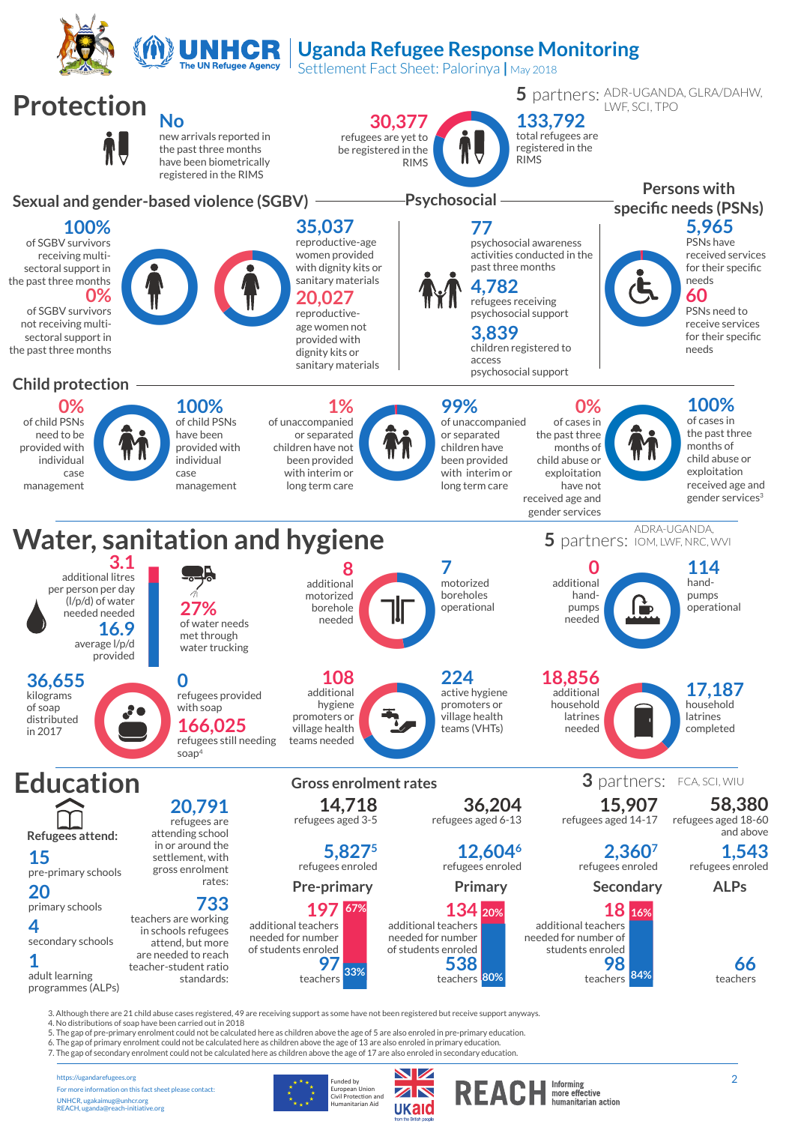

## **Uganda Refugee Response Monitoring**

Settlement Fact Sheet: Palorinya **|** May 2018



https://ugandarefugees.org For more information on this fact sheet please contact: UNHCR, ugakaimug@unhcr.org REACH, uganda@reach-initiative.org

Funded by<br>European Union<br>Civil Protection and<br>Humanitarian Aid

7. The gap of secondary enrolment could not be calculated here as children above the age of 17 are also enroled in secondary education.

**W**  ${\bf Z}$   $\bf N$ ukaid

Informing<br>more effective<br>humanitarian action